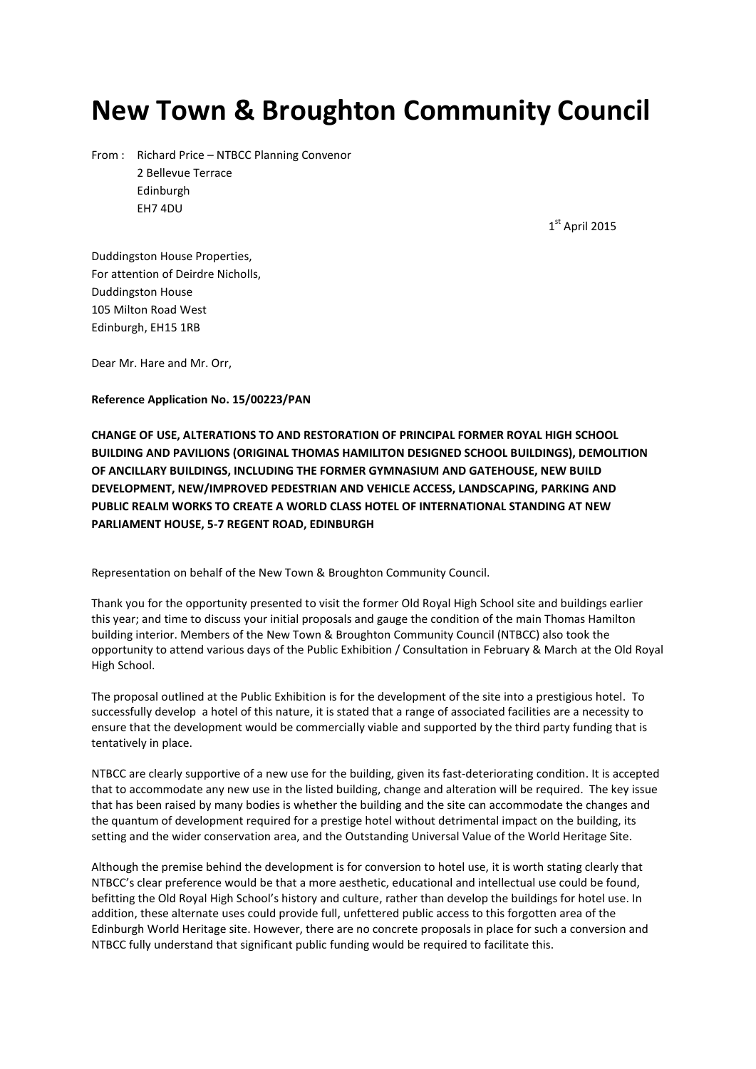# **New Town & Broughton Community Council**

From : Richard Price – NTBCC Planning Convenor 2 Bellevue Terrace Edinburgh EH7 4DU

1 st April 2015

Duddingston House Properties, For attention of Deirdre Nicholls, Duddingston House 105 Milton Road West Edinburgh, EH15 1RB

Dear Mr. Hare and Mr. Orr,

**Reference Application No. 15/00223/PAN**

**CHANGE OF USE, ALTERATIONS TO AND RESTORATION OF PRINCIPAL FORMER ROYAL HIGH SCHOOL BUILDING AND PAVILIONS (ORIGINAL THOMAS HAMILITON DESIGNED SCHOOL BUILDINGS), DEMOLITION OF ANCILLARY BUILDINGS, INCLUDING THE FORMER GYMNASIUM AND GATEHOUSE, NEW BUILD DEVELOPMENT, NEW/IMPROVED PEDESTRIAN AND VEHICLE ACCESS, LANDSCAPING, PARKING AND PUBLIC REALM WORKS TO CREATE A WORLD CLASS HOTEL OF INTERNATIONAL STANDING AT NEW PARLIAMENT HOUSE, 5-7 REGENT ROAD, EDINBURGH** 

Representation on behalf of the New Town & Broughton Community Council.

Thank you for the opportunity presented to visit the former Old Royal High School site and buildings earlier this year; and time to discuss your initial proposals and gauge the condition of the main Thomas Hamilton building interior. Members of the New Town & Broughton Community Council (NTBCC) also took the opportunity to attend various days of the Public Exhibition / Consultation in February & March at the Old Royal High School.

The proposal outlined at the Public Exhibition is for the development of the site into a prestigious hotel. To successfully develop a hotel of this nature, it is stated that a range of associated facilities are a necessity to ensure that the development would be commercially viable and supported by the third party funding that is tentatively in place.

NTBCC are clearly supportive of a new use for the building, given its fast-deteriorating condition. It is accepted that to accommodate any new use in the listed building, change and alteration will be required. The key issue that has been raised by many bodies is whether the building and the site can accommodate the changes and the quantum of development required for a prestige hotel without detrimental impact on the building, its setting and the wider conservation area, and the Outstanding Universal Value of the World Heritage Site.

Although the premise behind the development is for conversion to hotel use, it is worth stating clearly that NTBCC's clear preference would be that a more aesthetic, educational and intellectual use could be found, befitting the Old Royal High School's history and culture, rather than develop the buildings for hotel use. In addition, these alternate uses could provide full, unfettered public access to this forgotten area of the Edinburgh World Heritage site. However, there are no concrete proposals in place for such a conversion and NTBCC fully understand that significant public funding would be required to facilitate this.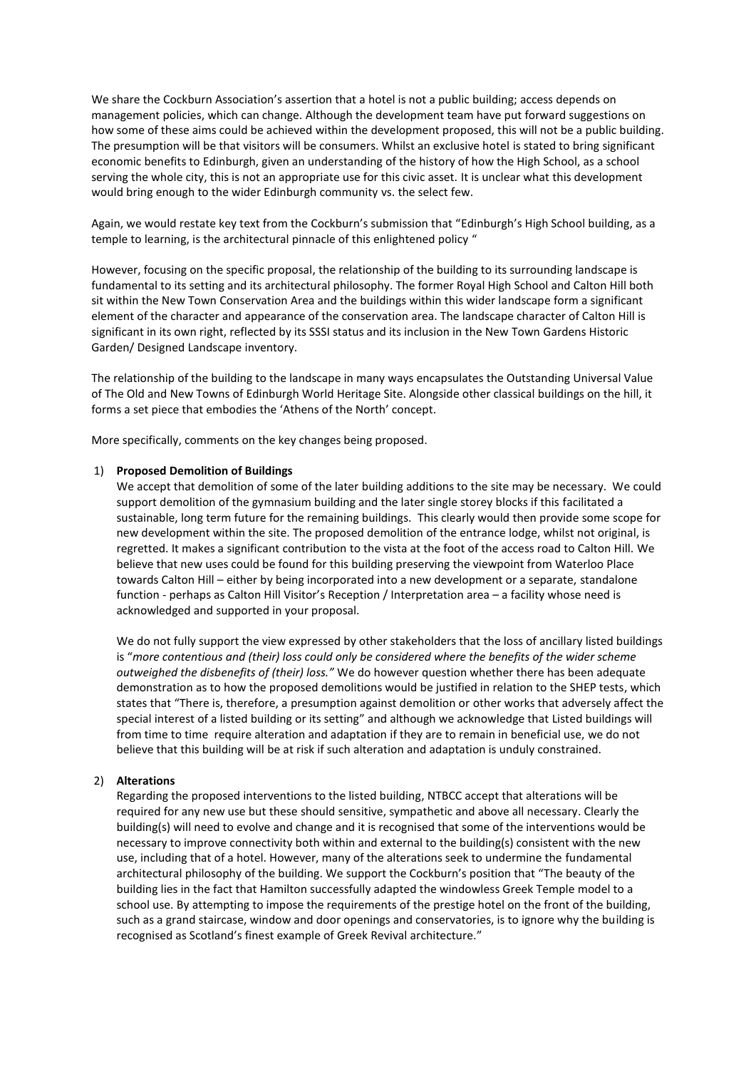We share the Cockburn Association's assertion that a hotel is not a public building; access depends on management policies, which can change. Although the development team have put forward suggestions on how some of these aims could be achieved within the development proposed, this will not be a public building. The presumption will be that visitors will be consumers. Whilst an exclusive hotel is stated to bring significant economic benefits to Edinburgh, given an understanding of the history of how the High School, as a school serving the whole city, this is not an appropriate use for this civic asset. It is unclear what this development would bring enough to the wider Edinburgh community vs. the select few.

Again, we would restate key text from the Cockburn's submission that "Edinburgh's High School building, as a temple to learning, is the architectural pinnacle of this enlightened policy "

However, focusing on the specific proposal, the relationship of the building to its surrounding landscape is fundamental to its setting and its architectural philosophy. The former Royal High School and Calton Hill both sit within the New Town Conservation Area and the buildings within this wider landscape form a significant element of the character and appearance of the conservation area. The landscape character of Calton Hill is significant in its own right, reflected by its SSSI status and its inclusion in the New Town Gardens Historic Garden/ Designed Landscape inventory.

The relationship of the building to the landscape in many ways encapsulates the Outstanding Universal Value of The Old and New Towns of Edinburgh World Heritage Site. Alongside other classical buildings on the hill, it forms a set piece that embodies the 'Athens of the North' concept.

More specifically, comments on the key changes being proposed.

#### 1) **Proposed Demolition of Buildings**

We accept that demolition of some of the later building additions to the site may be necessary. We could support demolition of the gymnasium building and the later single storey blocks if this facilitated a sustainable, long term future for the remaining buildings. This clearly would then provide some scope for new development within the site. The proposed demolition of the entrance lodge, whilst not original, is regretted. It makes a significant contribution to the vista at the foot of the access road to Calton Hill. We believe that new uses could be found for this building preserving the viewpoint from Waterloo Place towards Calton Hill – either by being incorporated into a new development or a separate, standalone function - perhaps as Calton Hill Visitor's Reception / Interpretation area – a facility whose need is acknowledged and supported in your proposal.

We do not fully support the view expressed by other stakeholders that the loss of ancillary listed buildings is "*more contentious and (their) loss could only be considered where the benefits of the wider scheme outweighed the disbenefits of (their) loss."* We do however question whether there has been adequate demonstration as to how the proposed demolitions would be justified in relation to the SHEP tests, which states that "There is, therefore, a presumption against demolition or other works that adversely affect the special interest of a listed building or its setting" and although we acknowledge that Listed buildings will from time to time require alteration and adaptation if they are to remain in beneficial use, we do not believe that this building will be at risk if such alteration and adaptation is unduly constrained.

#### 2) **Alterations**

Regarding the proposed interventions to the listed building, NTBCC accept that alterations will be required for any new use but these should sensitive, sympathetic and above all necessary. Clearly the building(s) will need to evolve and change and it is recognised that some of the interventions would be necessary to improve connectivity both within and external to the building(s) consistent with the new use, including that of a hotel. However, many of the alterations seek to undermine the fundamental architectural philosophy of the building. We support the Cockburn's position that "The beauty of the building lies in the fact that Hamilton successfully adapted the windowless Greek Temple model to a school use. By attempting to impose the requirements of the prestige hotel on the front of the building, such as a grand staircase, window and door openings and conservatories, is to ignore why the building is recognised as Scotland's finest example of Greek Revival architecture."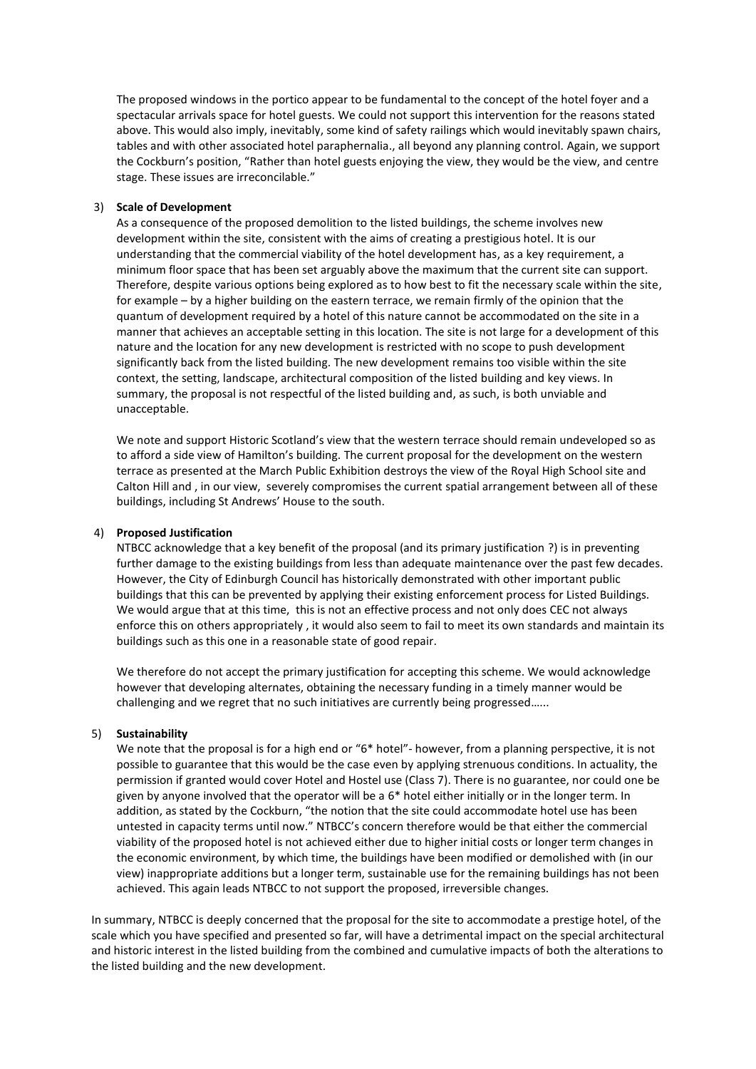The proposed windows in the portico appear to be fundamental to the concept of the hotel foyer and a spectacular arrivals space for hotel guests. We could not support this intervention for the reasons stated above. This would also imply, inevitably, some kind of safety railings which would inevitably spawn chairs, tables and with other associated hotel paraphernalia., all beyond any planning control. Again, we support the Cockburn's position, "Rather than hotel guests enjoying the view, they would be the view, and centre stage. These issues are irreconcilable."

#### 3) **Scale of Development**

As a consequence of the proposed demolition to the listed buildings, the scheme involves new development within the site, consistent with the aims of creating a prestigious hotel. It is our understanding that the commercial viability of the hotel development has, as a key requirement, a minimum floor space that has been set arguably above the maximum that the current site can support. Therefore, despite various options being explored as to how best to fit the necessary scale within the site, for example – by a higher building on the eastern terrace, we remain firmly of the opinion that the quantum of development required by a hotel of this nature cannot be accommodated on the site in a manner that achieves an acceptable setting in this location. The site is not large for a development of this nature and the location for any new development is restricted with no scope to push development significantly back from the listed building. The new development remains too visible within the site context, the setting, landscape, architectural composition of the listed building and key views. In summary, the proposal is not respectful of the listed building and, as such, is both unviable and unacceptable.

We note and support Historic Scotland's view that the western terrace should remain undeveloped so as to afford a side view of Hamilton's building. The current proposal for the development on the western terrace as presented at the March Public Exhibition destroys the view of the Royal High School site and Calton Hill and , in our view, severely compromises the current spatial arrangement between all of these buildings, including St Andrews' House to the south.

### 4) **Proposed Justification**

NTBCC acknowledge that a key benefit of the proposal (and its primary justification ?) is in preventing further damage to the existing buildings from less than adequate maintenance over the past few decades. However, the City of Edinburgh Council has historically demonstrated with other important public buildings that this can be prevented by applying their existing enforcement process for Listed Buildings. We would argue that at this time, this is not an effective process and not only does CEC not always enforce this on others appropriately , it would also seem to fail to meet its own standards and maintain its buildings such as this one in a reasonable state of good repair.

We therefore do not accept the primary justification for accepting this scheme. We would acknowledge however that developing alternates, obtaining the necessary funding in a timely manner would be challenging and we regret that no such initiatives are currently being progressed…...

## 5) **Sustainability**

We note that the proposal is for a high end or "6\* hotel"- however, from a planning perspective, it is not possible to guarantee that this would be the case even by applying strenuous conditions. In actuality, the permission if granted would cover Hotel and Hostel use (Class 7). There is no guarantee, nor could one be given by anyone involved that the operator will be a 6\* hotel either initially or in the longer term. In addition, as stated by the Cockburn, "the notion that the site could accommodate hotel use has been untested in capacity terms until now." NTBCC's concern therefore would be that either the commercial viability of the proposed hotel is not achieved either due to higher initial costs or longer term changes in the economic environment, by which time, the buildings have been modified or demolished with (in our view) inappropriate additions but a longer term, sustainable use for the remaining buildings has not been achieved. This again leads NTBCC to not support the proposed, irreversible changes.

In summary, NTBCC is deeply concerned that the proposal for the site to accommodate a prestige hotel, of the scale which you have specified and presented so far, will have a detrimental impact on the special architectural and historic interest in the listed building from the combined and cumulative impacts of both the alterations to the listed building and the new development.